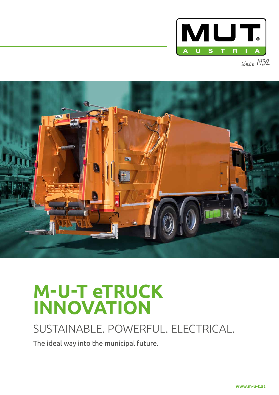



# **M-U-T eTRUCK INNOVATION**

### SUSTAINABLE. POWERFUL. ELECTRICAL.

The ideal way into the municipal future.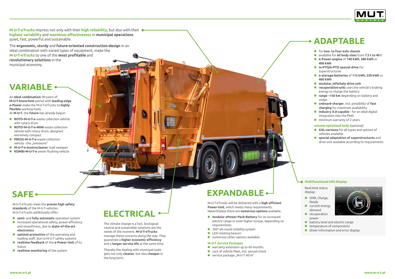**M-U-T-eTrucks** impress not only with their **high reliability**, but also with their **highest variability** and **maximum effectiveness** in **municipal operations**: quiet, fast, powerful and sustainable.

The **ergonomic, sturdy** and **future-oriented construction-design** in an ideal combination with varied types of equipment, make the **M-U-T-eTrucks** to one of the **most profitable** and **revolutionary solutions** in the municipal economy.

- **ROTO-M-U-T-e** waste collection vehicle with rotary drum
- **ROTO-M-U-T-e-MINI** waste collection vehicle with rotary drum, designed extremely compact
- **PRESS-M-U-T-e** waste collection vehicle - the "omnivore"
- **M-U-T-e-Austrocleaner** road sweeper
- **KOMBI-M-U-T-e** sewer flushing vehicle

An **ideal combination:** 90 years of **M-U-T-know-how** paired with **leading-edge e-Power** make the M-U-T-eTrucks to **highly flexible** working tools. At **M-U-T**, the **future** has already begun:

- **modular ePower-Pack-Battery** for an increased electric range or even higher torque, depending on requirements
- 360°-all-round visibility-system
- **LED** rotating beacon
- **numerous other options available**
- **semi-** and **fully automatic** operation system
- $\blacksquare$  increased operational safety, power efficiency and smoothness, due to **state-of-the-art electronics**
- $\blacksquare$  **optimal protection** of the operating and loading staff, due to M-U-T safety systems
- **realtime feedback** of the **e-Power-Unit** of its status
- **realtime monitoring** of the system

M-U-T-eTrucks will be delivered with a **high efficient Power-Unit**, which meets many requirements. Nevertheless there are **numerous options** available.

- for **two- to four-axle chassis**
- available for **all body sizes** from **7.5 t to 40 t**
- **e-Power-engine** of **140 kWh**, **280 kWh** or **400 kWh**
- **m-PTO/e-PTO special drive** for superstructures
- **e-storage-batteries** of **115 kWh, 230 kWh** or **460 kWh**
- **modular, infinitely drive unit**
- **F** recuperation-unit: uses the vehicle's braking energy to charge the battery
- **range ~150 km** depending on battery and usage
- **onboard-charger**, incl. possibility of **fast charging** for maximum availability
- **Industry X.0-capable** for an ideal digital integration into the fleet
- $\blacksquare$  minimum warranty of 2 years

#### **M-U-T Service Packages**

- warranty extension up to 60 months
- care of vehicle fleet, incl. annual check
- service package "M-U-T All In"



- **XXL-versions** for all types and options of vehicles available
- **special adaptation of superstructures** and drive unit available according to requirements

The climate change is a fact. Ecological neutral and sustainable solutions are the needs of the moment. **M-U-T-eTrucks** manage these concerns along the way. They guarantee a **higher economic efficiency** and a **longer service life** at the same time.

Thereby the dealing with municipal tasks gets not only **cleaner**, but also **cheaper** in the long term.

M-U-T-eTrucks meet the **proven high safety standards** of the M-U-T-vehicles. M-U-T-eTrucks additionally offer:

**volume-optimized body** (optional)

Real-time status display:

- DNR, Charge, Ready
- **Current energy** demand
- $\blacksquare$  recuperation power
- **battery level and electric range**
- $\blacksquare$  temperature of components
- **driver information and error display**



### **Multifunctional-Info Display**

# **EXPANDABLE**

# **ELECTRICAL**

**MUT** 

### **SAFE**

## **VARIABLE**

### **ADAPTABLE**